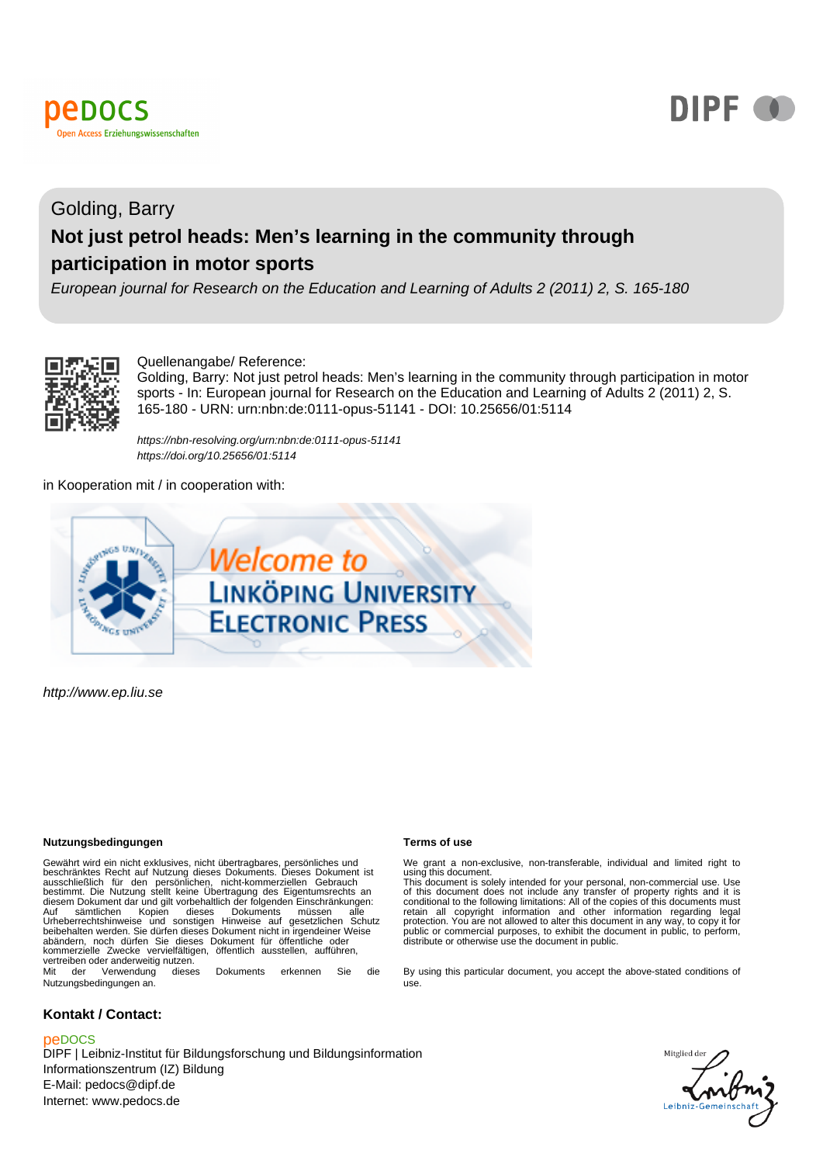



# Golding, Barry **Not just petrol heads: Men's learning in the community through participation in motor sports**

European journal for Research on the Education and Learning of Adults 2 (2011) 2, S. 165-180



Quellenangabe/ Reference:

Golding, Barry: Not just petrol heads: Men's learning in the community through participation in motor sports - In: European journal for Research on the Education and Learning of Adults 2 (2011) 2, S. 165-180 - URN: urn:nbn:de:0111-opus-51141 - DOI: 10.25656/01:5114

<https://nbn-resolving.org/urn:nbn:de:0111-opus-51141> <https://doi.org/10.25656/01:5114>

in Kooperation mit / in cooperation with:



http://www.ep.liu.se

#### **Nutzungsbedingungen Terms of use**

Gewährt wird ein nicht exklusives, nicht übertragbares, persönliches und<br>beschränktes Recht auf Nutzung dieses Dokuments. Dieses Dokument ist<br>ausschließlich für den persönlichen, nicht-kommerziellen Gebrauch<br>bestimmt. Die Auf sämtlichen Kopien dieses Dokuments müssen alle Urheberrechtshinweise und sonstigen Hinweise auf gesetzlichen Schutz beibehalten werden. Sie dürfen dieses Dokument nicht in irgendeiner Weise abändern, noch dürfen Sie dieses Dokument für öffentliche oder kommerzielle Zwecke vervielfältigen, öffentlich ausstellen, aufführen, vertreiben oder anderweitig nutzen. Mit der Verwendung dieses Dokuments erkennen Sie die

Nutzungsbedingungen an.

#### **Kontakt / Contact:**

#### peDOCS

DIPF | Leibniz-Institut für Bildungsforschung und Bildungsinformation Informationszentrum (IZ) Bildung E-Mail: pedocs@dipf.de Internet: www.pedocs.de

We grant a non-exclusive, non-transferable, individual and limited right to<br>using this document.<br>This document is solely intended for your personal, non-commercial use. Use<br>of this document does not include any transfer of

By using this particular document, you accept the above-stated conditions of use.

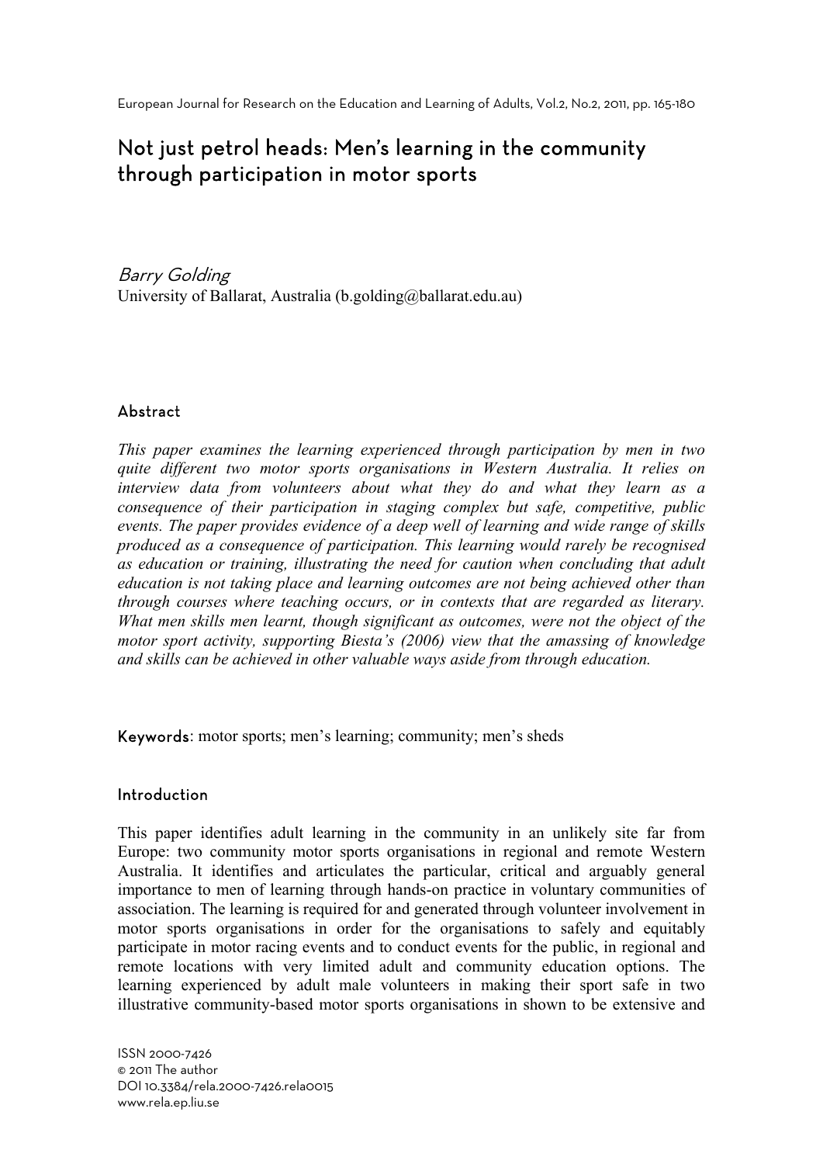# Not just petrol heads: Men's learning in the community through participation in motor sports

Barry Golding University of Ballarat, Australia (b.golding@ballarat.edu.au)

# Abstract

*This paper examines the learning experienced through participation by men in two quite different two motor sports organisations in Western Australia. It relies on interview data from volunteers about what they do and what they learn as a consequence of their participation in staging complex but safe, competitive, public events. The paper provides evidence of a deep well of learning and wide range of skills produced as a consequence of participation. This learning would rarely be recognised as education or training, illustrating the need for caution when concluding that adult education is not taking place and learning outcomes are not being achieved other than through courses where teaching occurs, or in contexts that are regarded as literary. What men skills men learnt, though significant as outcomes, were not the object of the motor sport activity, supporting Biesta's (2006) view that the amassing of knowledge and skills can be achieved in other valuable ways aside from through education.* 

Keywords: motor sports; men's learning; community; men's sheds

# Introduction

This paper identifies adult learning in the community in an unlikely site far from Europe: two community motor sports organisations in regional and remote Western Australia. It identifies and articulates the particular, critical and arguably general importance to men of learning through hands-on practice in voluntary communities of association. The learning is required for and generated through volunteer involvement in motor sports organisations in order for the organisations to safely and equitably participate in motor racing events and to conduct events for the public, in regional and remote locations with very limited adult and community education options. The learning experienced by adult male volunteers in making their sport safe in two illustrative community-based motor sports organisations in shown to be extensive and

ISSN 2000-7426 © 2011 The author DOI 10.3384/rela.2000-7426.rela0015 www.rela.ep.liu.se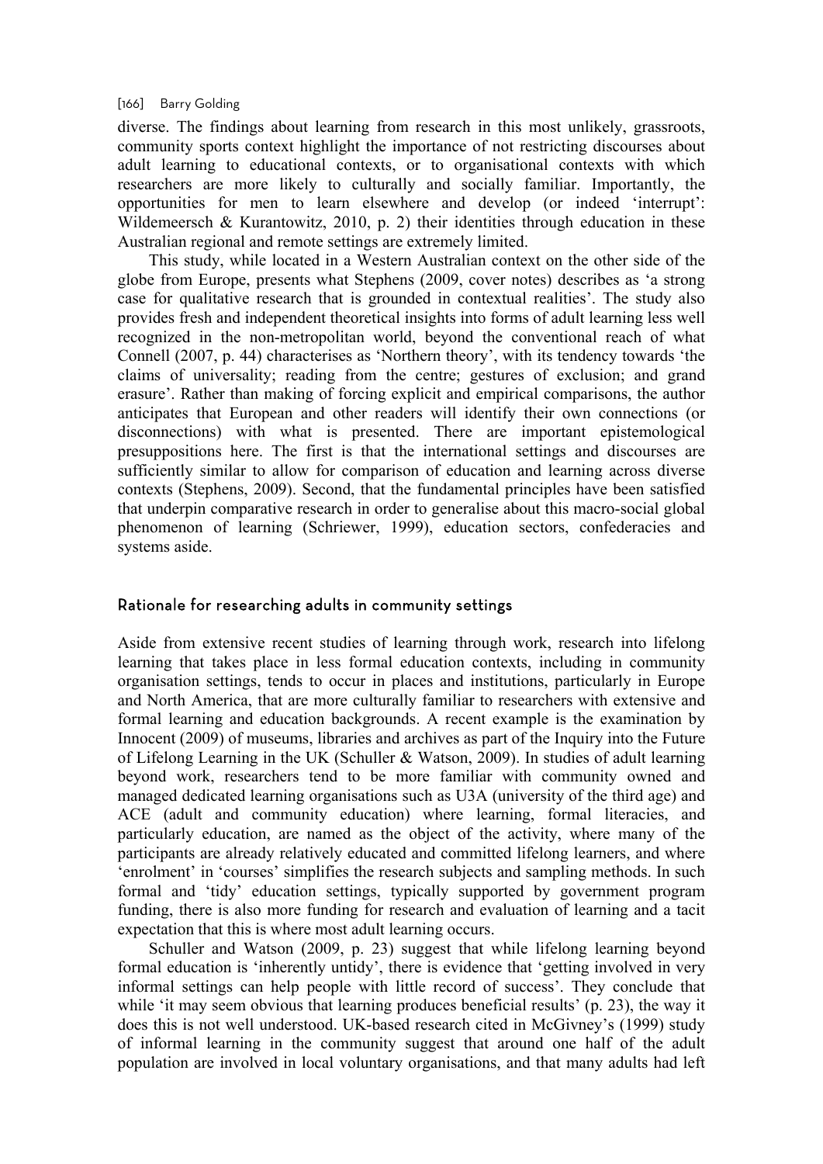#### [166] Barry Golding

diverse. The findings about learning from research in this most unlikely, grassroots, community sports context highlight the importance of not restricting discourses about adult learning to educational contexts, or to organisational contexts with which researchers are more likely to culturally and socially familiar. Importantly, the opportunities for men to learn elsewhere and develop (or indeed 'interrupt': Wildemeersch & Kurantowitz, 2010, p. 2) their identities through education in these Australian regional and remote settings are extremely limited.

This study, while located in a Western Australian context on the other side of the globe from Europe, presents what Stephens (2009, cover notes) describes as 'a strong case for qualitative research that is grounded in contextual realities'. The study also provides fresh and independent theoretical insights into forms of adult learning less well recognized in the non-metropolitan world, beyond the conventional reach of what Connell (2007, p. 44) characterises as 'Northern theory', with its tendency towards 'the claims of universality; reading from the centre; gestures of exclusion; and grand erasure'. Rather than making of forcing explicit and empirical comparisons, the author anticipates that European and other readers will identify their own connections (or disconnections) with what is presented. There are important epistemological presuppositions here. The first is that the international settings and discourses are sufficiently similar to allow for comparison of education and learning across diverse contexts (Stephens, 2009). Second, that the fundamental principles have been satisfied that underpin comparative research in order to generalise about this macro-social global phenomenon of learning (Schriewer, 1999), education sectors, confederacies and systems aside.

# Rationale for researching adults in community settings

Aside from extensive recent studies of learning through work, research into lifelong learning that takes place in less formal education contexts, including in community organisation settings, tends to occur in places and institutions, particularly in Europe and North America, that are more culturally familiar to researchers with extensive and formal learning and education backgrounds. A recent example is the examination by Innocent (2009) of museums, libraries and archives as part of the Inquiry into the Future of Lifelong Learning in the UK (Schuller & Watson, 2009). In studies of adult learning beyond work, researchers tend to be more familiar with community owned and managed dedicated learning organisations such as U3A (university of the third age) and ACE (adult and community education) where learning, formal literacies, and particularly education, are named as the object of the activity, where many of the participants are already relatively educated and committed lifelong learners, and where 'enrolment' in 'courses' simplifies the research subjects and sampling methods. In such formal and 'tidy' education settings, typically supported by government program funding, there is also more funding for research and evaluation of learning and a tacit expectation that this is where most adult learning occurs.

Schuller and Watson (2009, p. 23) suggest that while lifelong learning beyond formal education is 'inherently untidy', there is evidence that 'getting involved in very informal settings can help people with little record of success'. They conclude that while 'it may seem obvious that learning produces beneficial results' (p. 23), the way it does this is not well understood. UK-based research cited in McGivney's (1999) study of informal learning in the community suggest that around one half of the adult population are involved in local voluntary organisations, and that many adults had left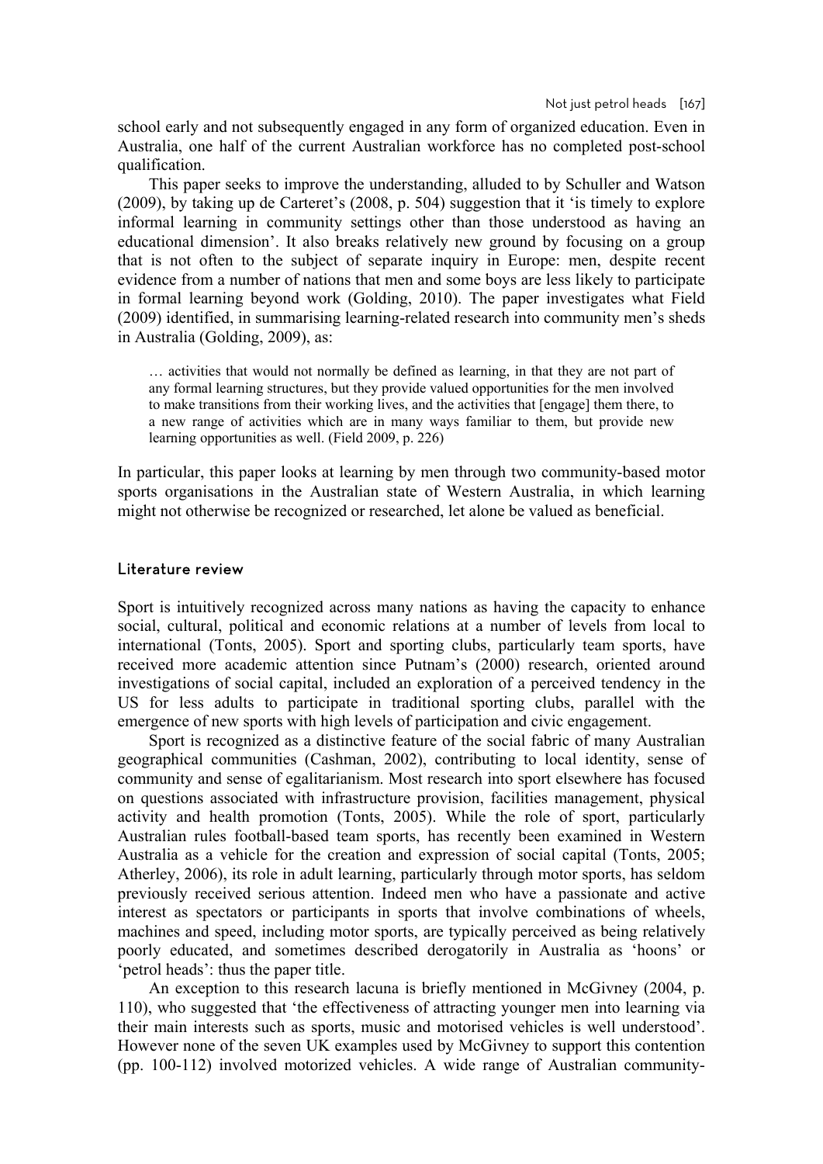school early and not subsequently engaged in any form of organized education. Even in Australia, one half of the current Australian workforce has no completed post-school qualification.

This paper seeks to improve the understanding, alluded to by Schuller and Watson (2009), by taking up de Carteret's (2008, p. 504) suggestion that it 'is timely to explore informal learning in community settings other than those understood as having an educational dimension'. It also breaks relatively new ground by focusing on a group that is not often to the subject of separate inquiry in Europe: men, despite recent evidence from a number of nations that men and some boys are less likely to participate in formal learning beyond work (Golding, 2010). The paper investigates what Field (2009) identified, in summarising learning-related research into community men's sheds in Australia (Golding, 2009), as:

… activities that would not normally be defined as learning, in that they are not part of any formal learning structures, but they provide valued opportunities for the men involved to make transitions from their working lives, and the activities that [engage] them there, to a new range of activities which are in many ways familiar to them, but provide new learning opportunities as well. (Field 2009, p. 226)

In particular, this paper looks at learning by men through two community-based motor sports organisations in the Australian state of Western Australia, in which learning might not otherwise be recognized or researched, let alone be valued as beneficial.

#### Literature review

Sport is intuitively recognized across many nations as having the capacity to enhance social, cultural, political and economic relations at a number of levels from local to international (Tonts, 2005). Sport and sporting clubs, particularly team sports, have received more academic attention since Putnam's (2000) research, oriented around investigations of social capital, included an exploration of a perceived tendency in the US for less adults to participate in traditional sporting clubs, parallel with the emergence of new sports with high levels of participation and civic engagement.

Sport is recognized as a distinctive feature of the social fabric of many Australian geographical communities (Cashman, 2002), contributing to local identity, sense of community and sense of egalitarianism. Most research into sport elsewhere has focused on questions associated with infrastructure provision, facilities management, physical activity and health promotion (Tonts, 2005). While the role of sport, particularly Australian rules football-based team sports, has recently been examined in Western Australia as a vehicle for the creation and expression of social capital (Tonts, 2005; Atherley, 2006), its role in adult learning, particularly through motor sports, has seldom previously received serious attention. Indeed men who have a passionate and active interest as spectators or participants in sports that involve combinations of wheels, machines and speed, including motor sports, are typically perceived as being relatively poorly educated, and sometimes described derogatorily in Australia as 'hoons' or 'petrol heads': thus the paper title.

An exception to this research lacuna is briefly mentioned in McGivney (2004, p. 110), who suggested that 'the effectiveness of attracting younger men into learning via their main interests such as sports, music and motorised vehicles is well understood'. However none of the seven UK examples used by McGivney to support this contention (pp. 100-112) involved motorized vehicles. A wide range of Australian community-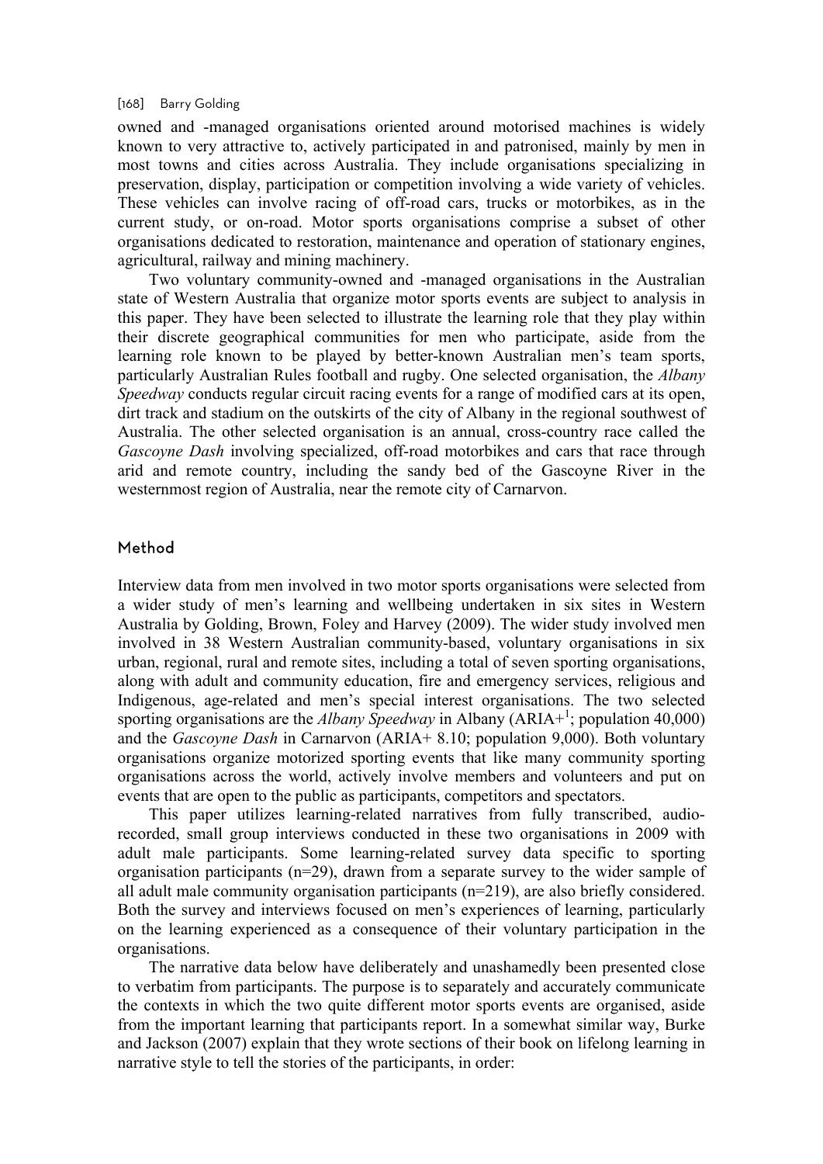#### [168] Barry Golding

owned and -managed organisations oriented around motorised machines is widely known to very attractive to, actively participated in and patronised, mainly by men in most towns and cities across Australia. They include organisations specializing in preservation, display, participation or competition involving a wide variety of vehicles. These vehicles can involve racing of off-road cars, trucks or motorbikes, as in the current study, or on-road. Motor sports organisations comprise a subset of other organisations dedicated to restoration, maintenance and operation of stationary engines, agricultural, railway and mining machinery.

Two voluntary community-owned and -managed organisations in the Australian state of Western Australia that organize motor sports events are subject to analysis in this paper. They have been selected to illustrate the learning role that they play within their discrete geographical communities for men who participate, aside from the learning role known to be played by better-known Australian men's team sports, particularly Australian Rules football and rugby. One selected organisation, the *Albany Speedway* conducts regular circuit racing events for a range of modified cars at its open, dirt track and stadium on the outskirts of the city of Albany in the regional southwest of Australia. The other selected organisation is an annual, cross-country race called the *Gascoyne Dash* involving specialized, off-road motorbikes and cars that race through arid and remote country, including the sandy bed of the Gascoyne River in the westernmost region of Australia, near the remote city of Carnarvon.

## Method

Interview data from men involved in two motor sports organisations were selected from a wider study of men's learning and wellbeing undertaken in six sites in Western Australia by Golding, Brown, Foley and Harvey (2009). The wider study involved men involved in 38 Western Australian community-based, voluntary organisations in six urban, regional, rural and remote sites, including a total of seven sporting organisations, along with adult and community education, fire and emergency services, religious and Indigenous, age-related and men's special interest organisations. The two selected sporting organisations are the *Albany Speedway* in Albany (ARIA+<sup>1</sup>; population 40,000) and the *Gascoyne Dash* in Carnarvon (ARIA+ 8.10; population 9,000). Both voluntary organisations organize motorized sporting events that like many community sporting organisations across the world, actively involve members and volunteers and put on events that are open to the public as participants, competitors and spectators.

This paper utilizes learning-related narratives from fully transcribed, audiorecorded, small group interviews conducted in these two organisations in 2009 with adult male participants. Some learning-related survey data specific to sporting organisation participants (n=29), drawn from a separate survey to the wider sample of all adult male community organisation participants (n=219), are also briefly considered. Both the survey and interviews focused on men's experiences of learning, particularly on the learning experienced as a consequence of their voluntary participation in the organisations.

The narrative data below have deliberately and unashamedly been presented close to verbatim from participants. The purpose is to separately and accurately communicate the contexts in which the two quite different motor sports events are organised, aside from the important learning that participants report. In a somewhat similar way, Burke and Jackson (2007) explain that they wrote sections of their book on lifelong learning in narrative style to tell the stories of the participants, in order: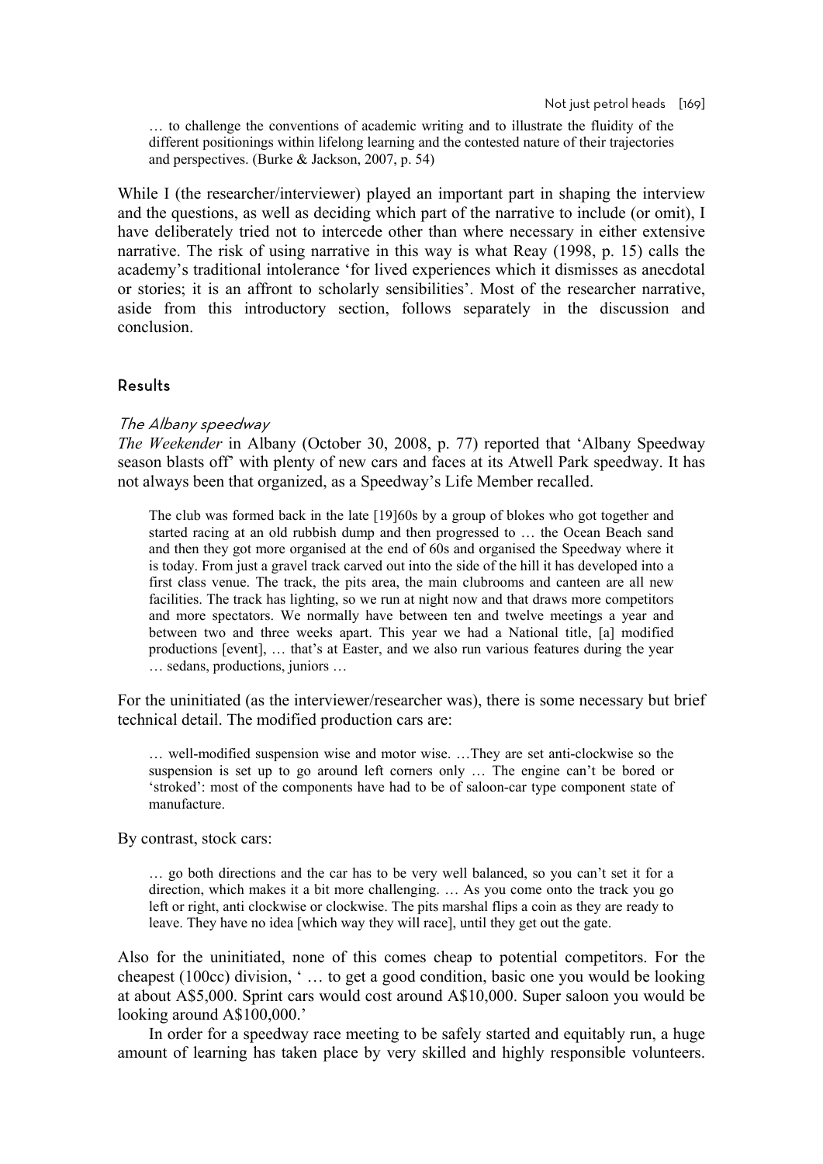… to challenge the conventions of academic writing and to illustrate the fluidity of the different positionings within lifelong learning and the contested nature of their trajectories and perspectives. (Burke & Jackson, 2007, p. 54)

While I (the researcher/interviewer) played an important part in shaping the interview and the questions, as well as deciding which part of the narrative to include (or omit), I have deliberately tried not to intercede other than where necessary in either extensive narrative. The risk of using narrative in this way is what Reay (1998, p. 15) calls the academy's traditional intolerance 'for lived experiences which it dismisses as anecdotal or stories; it is an affront to scholarly sensibilities'. Most of the researcher narrative, aside from this introductory section, follows separately in the discussion and conclusion.

# Results

#### The Albany speedway

*The Weekender* in Albany (October 30, 2008, p. 77) reported that 'Albany Speedway season blasts off' with plenty of new cars and faces at its Atwell Park speedway. It has not always been that organized, as a Speedway's Life Member recalled.

The club was formed back in the late [19]60s by a group of blokes who got together and started racing at an old rubbish dump and then progressed to … the Ocean Beach sand and then they got more organised at the end of 60s and organised the Speedway where it is today. From just a gravel track carved out into the side of the hill it has developed into a first class venue. The track, the pits area, the main clubrooms and canteen are all new facilities. The track has lighting, so we run at night now and that draws more competitors and more spectators. We normally have between ten and twelve meetings a year and between two and three weeks apart. This year we had a National title, [a] modified productions [event], … that's at Easter, and we also run various features during the year … sedans, productions, juniors …

For the uninitiated (as the interviewer/researcher was), there is some necessary but brief technical detail. The modified production cars are:

… well-modified suspension wise and motor wise. …They are set anti-clockwise so the suspension is set up to go around left corners only … The engine can't be bored or 'stroked': most of the components have had to be of saloon-car type component state of manufacture.

By contrast, stock cars:

… go both directions and the car has to be very well balanced, so you can't set it for a direction, which makes it a bit more challenging. … As you come onto the track you go left or right, anti clockwise or clockwise. The pits marshal flips a coin as they are ready to leave. They have no idea [which way they will race], until they get out the gate.

Also for the uninitiated, none of this comes cheap to potential competitors. For the cheapest (100cc) division, ' … to get a good condition, basic one you would be looking at about A\$5,000. Sprint cars would cost around A\$10,000. Super saloon you would be looking around A\$100,000.'

In order for a speedway race meeting to be safely started and equitably run, a huge amount of learning has taken place by very skilled and highly responsible volunteers.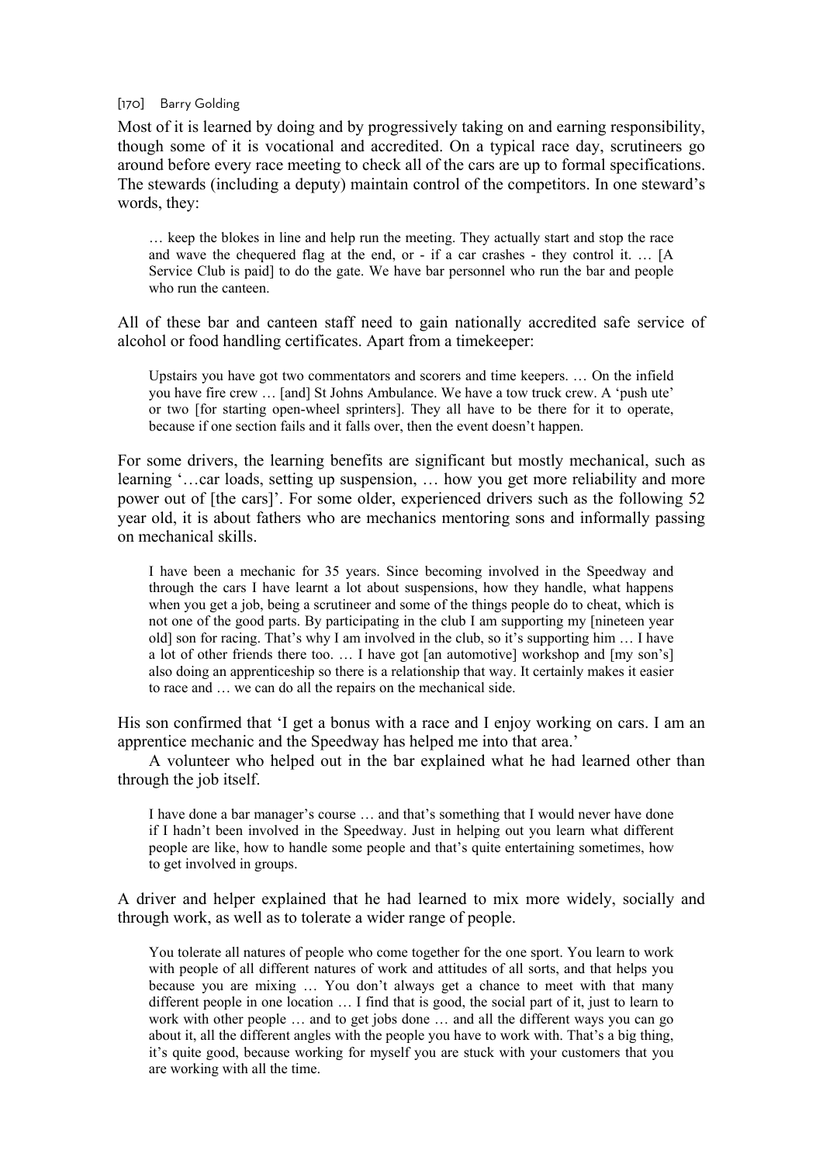#### [170] Barry Golding

Most of it is learned by doing and by progressively taking on and earning responsibility, though some of it is vocational and accredited. On a typical race day, scrutineers go around before every race meeting to check all of the cars are up to formal specifications. The stewards (including a deputy) maintain control of the competitors. In one steward's words, they:

… keep the blokes in line and help run the meeting. They actually start and stop the race and wave the chequered flag at the end, or - if a car crashes - they control it. … [A Service Club is paid] to do the gate. We have bar personnel who run the bar and people who run the canteen.

All of these bar and canteen staff need to gain nationally accredited safe service of alcohol or food handling certificates. Apart from a timekeeper:

Upstairs you have got two commentators and scorers and time keepers. … On the infield you have fire crew … [and] St Johns Ambulance. We have a tow truck crew. A 'push ute' or two [for starting open-wheel sprinters]. They all have to be there for it to operate, because if one section fails and it falls over, then the event doesn't happen.

For some drivers, the learning benefits are significant but mostly mechanical, such as learning '…car loads, setting up suspension, … how you get more reliability and more power out of [the cars]'. For some older, experienced drivers such as the following 52 year old, it is about fathers who are mechanics mentoring sons and informally passing on mechanical skills.

I have been a mechanic for 35 years. Since becoming involved in the Speedway and through the cars I have learnt a lot about suspensions, how they handle, what happens when you get a job, being a scrutineer and some of the things people do to cheat, which is not one of the good parts. By participating in the club I am supporting my [nineteen year old] son for racing. That's why I am involved in the club, so it's supporting him … I have a lot of other friends there too. … I have got [an automotive] workshop and [my son's] also doing an apprenticeship so there is a relationship that way. It certainly makes it easier to race and … we can do all the repairs on the mechanical side.

His son confirmed that 'I get a bonus with a race and I enjoy working on cars. I am an apprentice mechanic and the Speedway has helped me into that area.'

A volunteer who helped out in the bar explained what he had learned other than through the job itself.

I have done a bar manager's course … and that's something that I would never have done if I hadn't been involved in the Speedway. Just in helping out you learn what different people are like, how to handle some people and that's quite entertaining sometimes, how to get involved in groups.

A driver and helper explained that he had learned to mix more widely, socially and through work, as well as to tolerate a wider range of people.

You tolerate all natures of people who come together for the one sport. You learn to work with people of all different natures of work and attitudes of all sorts, and that helps you because you are mixing … You don't always get a chance to meet with that many different people in one location … I find that is good, the social part of it, just to learn to work with other people … and to get jobs done … and all the different ways you can go about it, all the different angles with the people you have to work with. That's a big thing, it's quite good, because working for myself you are stuck with your customers that you are working with all the time.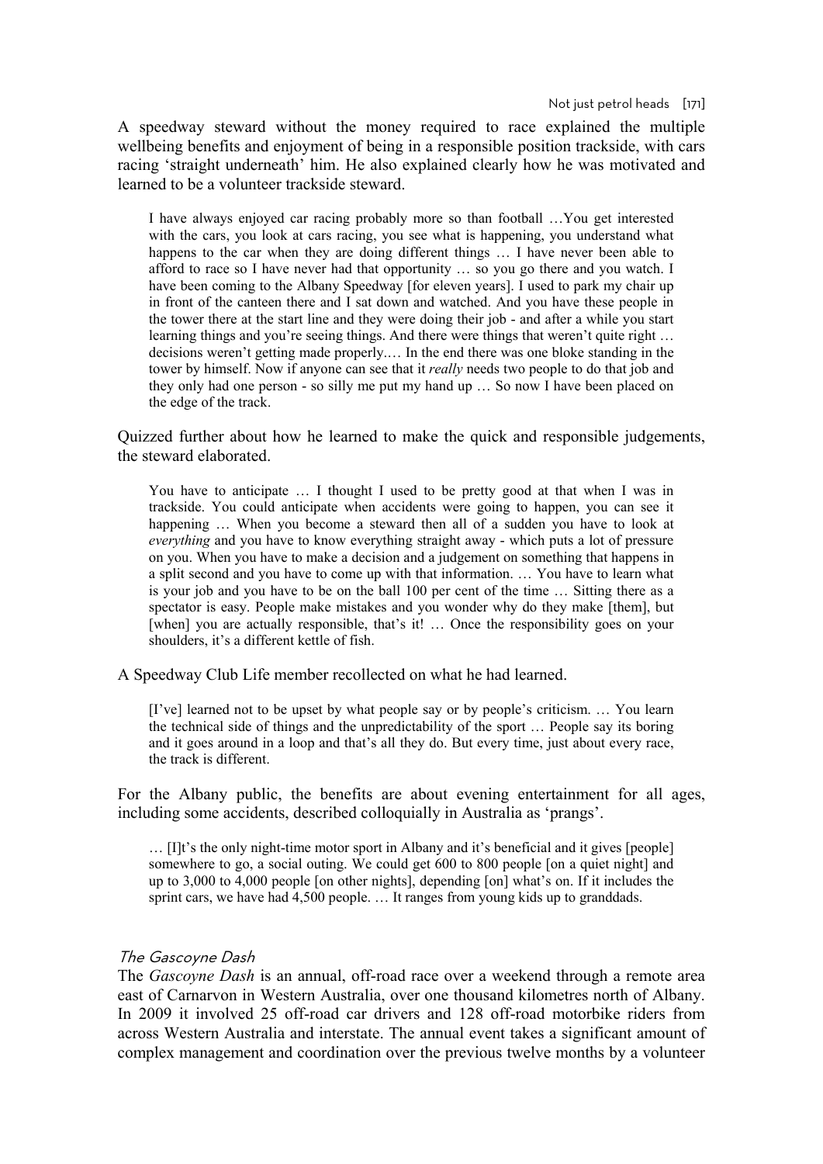A speedway steward without the money required to race explained the multiple wellbeing benefits and enjoyment of being in a responsible position trackside, with cars racing 'straight underneath' him. He also explained clearly how he was motivated and learned to be a volunteer trackside steward.

I have always enjoyed car racing probably more so than football …You get interested with the cars, you look at cars racing, you see what is happening, you understand what happens to the car when they are doing different things … I have never been able to afford to race so I have never had that opportunity ... so you go there and you watch. I have been coming to the Albany Speedway [for eleven years]. I used to park my chair up in front of the canteen there and I sat down and watched. And you have these people in the tower there at the start line and they were doing their job - and after a while you start learning things and you're seeing things. And there were things that weren't quite right … decisions weren't getting made properly.… In the end there was one bloke standing in the tower by himself. Now if anyone can see that it *really* needs two people to do that job and they only had one person - so silly me put my hand up … So now I have been placed on the edge of the track.

Quizzed further about how he learned to make the quick and responsible judgements, the steward elaborated.

You have to anticipate … I thought I used to be pretty good at that when I was in trackside. You could anticipate when accidents were going to happen, you can see it happening ... When you become a steward then all of a sudden you have to look at *everything* and you have to know everything straight away - which puts a lot of pressure on you. When you have to make a decision and a judgement on something that happens in a split second and you have to come up with that information. … You have to learn what is your job and you have to be on the ball 100 per cent of the time … Sitting there as a spectator is easy. People make mistakes and you wonder why do they make [them], but [when] you are actually responsible, that's it! ... Once the responsibility goes on your shoulders, it's a different kettle of fish.

A Speedway Club Life member recollected on what he had learned.

[I've] learned not to be upset by what people say or by people's criticism. … You learn the technical side of things and the unpredictability of the sport … People say its boring and it goes around in a loop and that's all they do. But every time, just about every race, the track is different.

For the Albany public, the benefits are about evening entertainment for all ages, including some accidents, described colloquially in Australia as 'prangs'.

… [I]t's the only night-time motor sport in Albany and it's beneficial and it gives [people] somewhere to go, a social outing. We could get 600 to 800 people [on a quiet night] and up to 3,000 to 4,000 people [on other nights], depending [on] what's on. If it includes the sprint cars, we have had 4,500 people. ... It ranges from young kids up to granddads.

### The Gascoyne Dash

The *Gascoyne Dash* is an annual, off-road race over a weekend through a remote area east of Carnarvon in Western Australia, over one thousand kilometres north of Albany. In 2009 it involved 25 off-road car drivers and 128 off-road motorbike riders from across Western Australia and interstate. The annual event takes a significant amount of complex management and coordination over the previous twelve months by a volunteer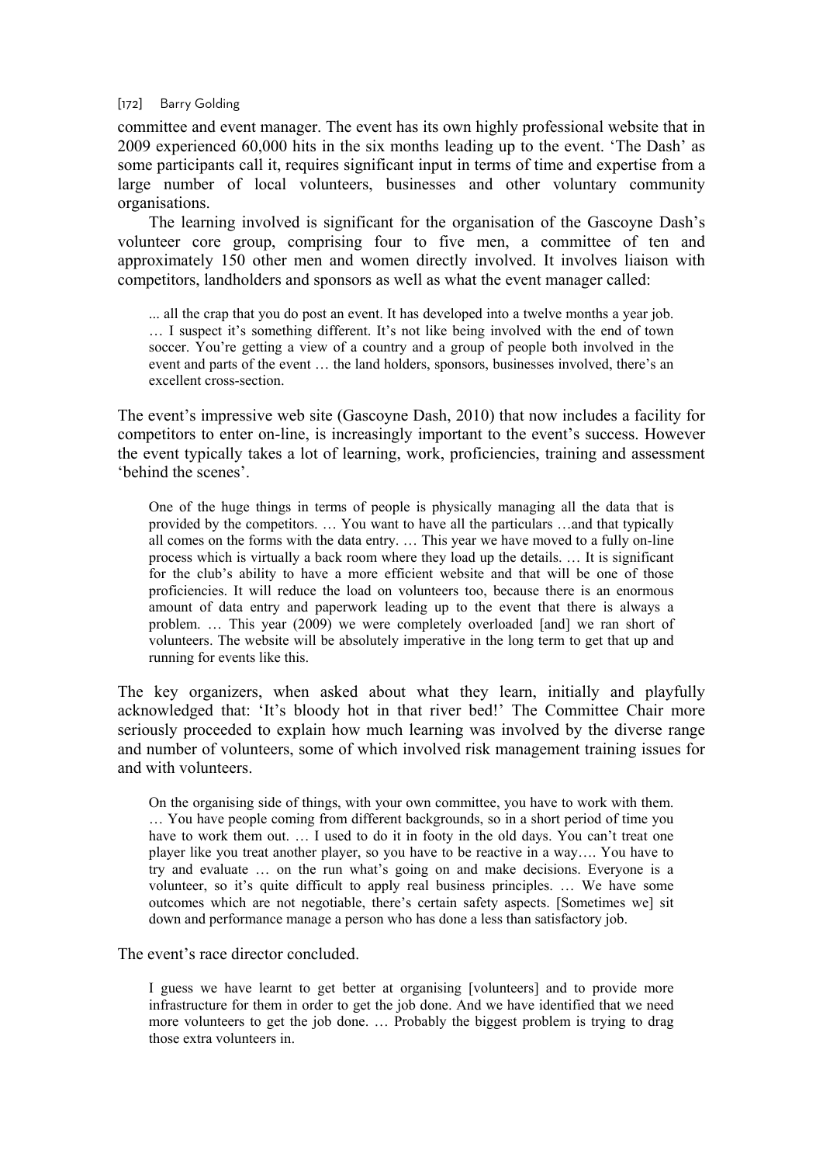committee and event manager. The event has its own highly professional website that in 2009 experienced 60,000 hits in the six months leading up to the event. 'The Dash' as some participants call it, requires significant input in terms of time and expertise from a large number of local volunteers, businesses and other voluntary community organisations.

The learning involved is significant for the organisation of the Gascoyne Dash's volunteer core group, comprising four to five men, a committee of ten and approximately 150 other men and women directly involved. It involves liaison with competitors, landholders and sponsors as well as what the event manager called:

... all the crap that you do post an event. It has developed into a twelve months a year job. … I suspect it's something different. It's not like being involved with the end of town soccer. You're getting a view of a country and a group of people both involved in the event and parts of the event … the land holders, sponsors, businesses involved, there's an excellent cross-section.

The event's impressive web site (Gascoyne Dash, 2010) that now includes a facility for competitors to enter on-line, is increasingly important to the event's success. However the event typically takes a lot of learning, work, proficiencies, training and assessment 'behind the scenes'.

One of the huge things in terms of people is physically managing all the data that is provided by the competitors. … You want to have all the particulars …and that typically all comes on the forms with the data entry. … This year we have moved to a fully on-line process which is virtually a back room where they load up the details. … It is significant for the club's ability to have a more efficient website and that will be one of those proficiencies. It will reduce the load on volunteers too, because there is an enormous amount of data entry and paperwork leading up to the event that there is always a problem. … This year (2009) we were completely overloaded [and] we ran short of volunteers. The website will be absolutely imperative in the long term to get that up and running for events like this.

The key organizers, when asked about what they learn, initially and playfully acknowledged that: 'It's bloody hot in that river bed!' The Committee Chair more seriously proceeded to explain how much learning was involved by the diverse range and number of volunteers, some of which involved risk management training issues for and with volunteers.

On the organising side of things, with your own committee, you have to work with them. … You have people coming from different backgrounds, so in a short period of time you have to work them out. ... I used to do it in footy in the old days. You can't treat one player like you treat another player, so you have to be reactive in a way…. You have to try and evaluate … on the run what's going on and make decisions. Everyone is a volunteer, so it's quite difficult to apply real business principles. … We have some outcomes which are not negotiable, there's certain safety aspects. [Sometimes we] sit down and performance manage a person who has done a less than satisfactory job.

The event's race director concluded.

I guess we have learnt to get better at organising [volunteers] and to provide more infrastructure for them in order to get the job done. And we have identified that we need more volunteers to get the job done. … Probably the biggest problem is trying to drag those extra volunteers in.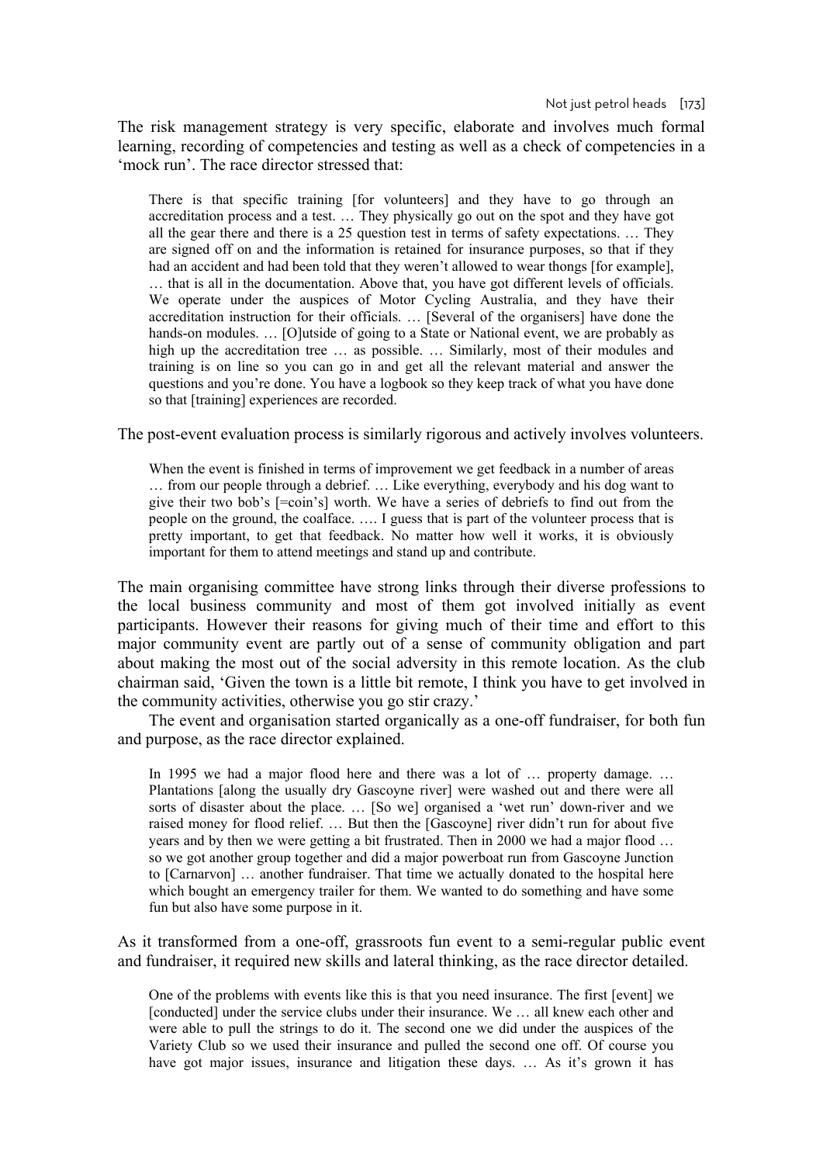Not just petrol heads [173]

The risk management strategy is very specific, elaborate and involves much formal learning, recording of competencies and testing as well as a check of competencies in a 'mock run'. The race director stressed that:

There is that specific training [for volunteers] and they have to go through an accreditation process and a test. … They physically go out on the spot and they have got all the gear there and there is a 25 question test in terms of safety expectations. … They are signed off on and the information is retained for insurance purposes, so that if they had an accident and had been told that they weren't allowed to wear thongs [for example], … that is all in the documentation. Above that, you have got different levels of officials. We operate under the auspices of Motor Cycling Australia, and they have their accreditation instruction for their officials. … [Several of the organisers] have done the hands-on modules. ... [O]utside of going to a State or National event, we are probably as high up the accreditation tree … as possible. … Similarly, most of their modules and training is on line so you can go in and get all the relevant material and answer the questions and you're done. You have a logbook so they keep track of what you have done so that [training] experiences are recorded.

The post-event evaluation process is similarly rigorous and actively involves volunteers.

When the event is finished in terms of improvement we get feedback in a number of areas … from our people through a debrief. … Like everything, everybody and his dog want to give their two bob's [=coin's] worth. We have a series of debriefs to find out from the people on the ground, the coalface. …. I guess that is part of the volunteer process that is pretty important, to get that feedback. No matter how well it works, it is obviously important for them to attend meetings and stand up and contribute.

The main organising committee have strong links through their diverse professions to the local business community and most of them got involved initially as event participants. However their reasons for giving much of their time and effort to this major community event are partly out of a sense of community obligation and part about making the most out of the social adversity in this remote location. As the club chairman said, 'Given the town is a little bit remote, I think you have to get involved in the community activities, otherwise you go stir crazy.'

The event and organisation started organically as a one-off fundraiser, for both fun and purpose, as the race director explained.

In 1995 we had a major flood here and there was a lot of ... property damage. ... Plantations [along the usually dry Gascoyne river] were washed out and there were all sorts of disaster about the place. … [So we] organised a 'wet run' down-river and we raised money for flood relief. … But then the [Gascoyne] river didn't run for about five years and by then we were getting a bit frustrated. Then in 2000 we had a major flood … so we got another group together and did a major powerboat run from Gascoyne Junction to [Carnarvon] … another fundraiser. That time we actually donated to the hospital here which bought an emergency trailer for them. We wanted to do something and have some fun but also have some purpose in it.

As it transformed from a one-off, grassroots fun event to a semi-regular public event and fundraiser, it required new skills and lateral thinking, as the race director detailed.

One of the problems with events like this is that you need insurance. The first [event] we [conducted] under the service clubs under their insurance. We … all knew each other and were able to pull the strings to do it. The second one we did under the auspices of the Variety Club so we used their insurance and pulled the second one off. Of course you have got major issues, insurance and litigation these days. ... As it's grown it has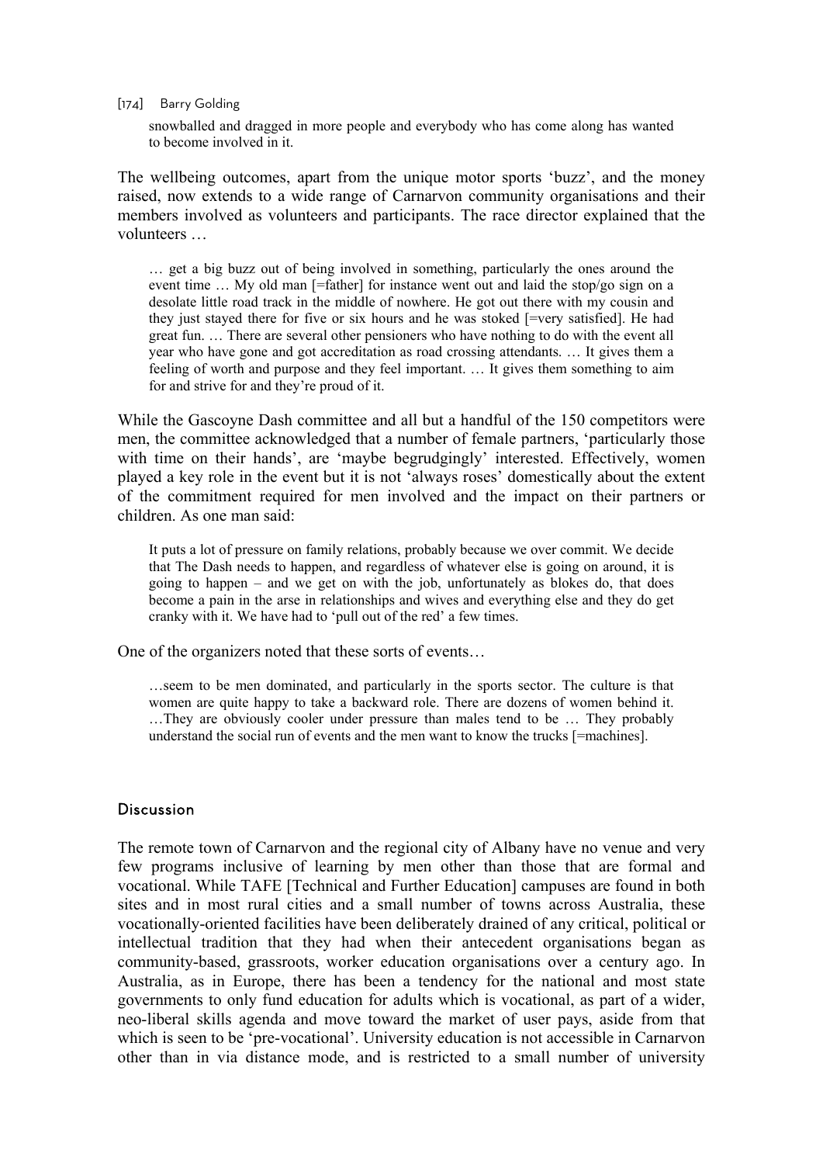#### [174] Barry Golding

snowballed and dragged in more people and everybody who has come along has wanted to become involved in it.

The wellbeing outcomes, apart from the unique motor sports 'buzz', and the money raised, now extends to a wide range of Carnarvon community organisations and their members involved as volunteers and participants. The race director explained that the volunteers …

… get a big buzz out of being involved in something, particularly the ones around the event time ... My old man [=father] for instance went out and laid the stop/go sign on a desolate little road track in the middle of nowhere. He got out there with my cousin and they just stayed there for five or six hours and he was stoked [=very satisfied]. He had great fun. … There are several other pensioners who have nothing to do with the event all year who have gone and got accreditation as road crossing attendants. … It gives them a feeling of worth and purpose and they feel important. … It gives them something to aim for and strive for and they're proud of it.

While the Gascoyne Dash committee and all but a handful of the 150 competitors were men, the committee acknowledged that a number of female partners, 'particularly those with time on their hands', are 'maybe begrudgingly' interested. Effectively, women played a key role in the event but it is not 'always roses' domestically about the extent of the commitment required for men involved and the impact on their partners or children. As one man said:

It puts a lot of pressure on family relations, probably because we over commit. We decide that The Dash needs to happen, and regardless of whatever else is going on around, it is going to happen – and we get on with the job, unfortunately as blokes do, that does become a pain in the arse in relationships and wives and everything else and they do get cranky with it. We have had to 'pull out of the red' a few times.

One of the organizers noted that these sorts of events…

…seem to be men dominated, and particularly in the sports sector. The culture is that women are quite happy to take a backward role. There are dozens of women behind it. …They are obviously cooler under pressure than males tend to be … They probably understand the social run of events and the men want to know the trucks [=machines].

# **Discussion**

The remote town of Carnarvon and the regional city of Albany have no venue and very few programs inclusive of learning by men other than those that are formal and vocational. While TAFE [Technical and Further Education] campuses are found in both sites and in most rural cities and a small number of towns across Australia, these vocationally-oriented facilities have been deliberately drained of any critical, political or intellectual tradition that they had when their antecedent organisations began as community-based, grassroots, worker education organisations over a century ago. In Australia, as in Europe, there has been a tendency for the national and most state governments to only fund education for adults which is vocational, as part of a wider, neo-liberal skills agenda and move toward the market of user pays, aside from that which is seen to be 'pre-vocational'. University education is not accessible in Carnarvon other than in via distance mode, and is restricted to a small number of university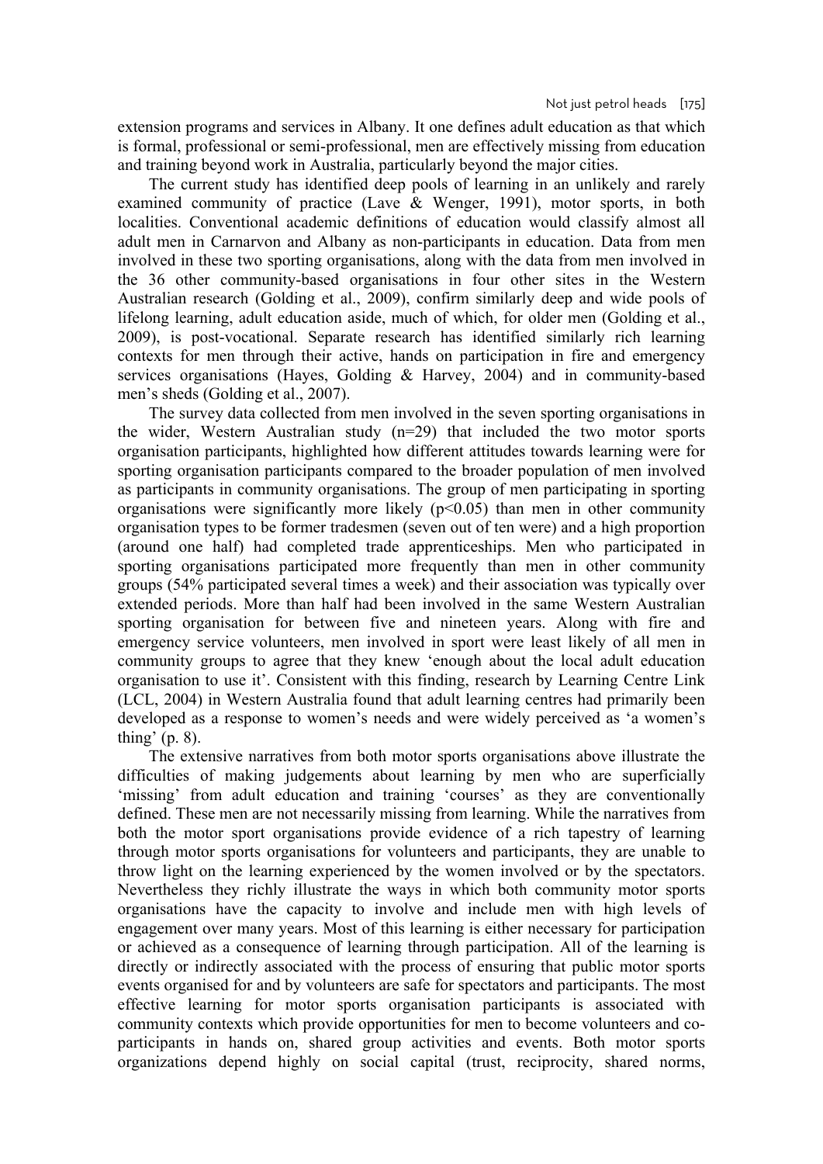extension programs and services in Albany. It one defines adult education as that which is formal, professional or semi-professional, men are effectively missing from education and training beyond work in Australia, particularly beyond the major cities.

The current study has identified deep pools of learning in an unlikely and rarely examined community of practice (Lave & Wenger, 1991), motor sports, in both localities. Conventional academic definitions of education would classify almost all adult men in Carnarvon and Albany as non-participants in education. Data from men involved in these two sporting organisations, along with the data from men involved in the 36 other community-based organisations in four other sites in the Western Australian research (Golding et al., 2009), confirm similarly deep and wide pools of lifelong learning, adult education aside, much of which, for older men (Golding et al., 2009), is post-vocational. Separate research has identified similarly rich learning contexts for men through their active, hands on participation in fire and emergency services organisations (Hayes, Golding & Harvey, 2004) and in community-based men's sheds (Golding et al., 2007).

The survey data collected from men involved in the seven sporting organisations in the wider, Western Australian study (n=29) that included the two motor sports organisation participants, highlighted how different attitudes towards learning were for sporting organisation participants compared to the broader population of men involved as participants in community organisations. The group of men participating in sporting organisations were significantly more likely  $(p<0.05)$  than men in other community organisation types to be former tradesmen (seven out of ten were) and a high proportion (around one half) had completed trade apprenticeships. Men who participated in sporting organisations participated more frequently than men in other community groups (54% participated several times a week) and their association was typically over extended periods. More than half had been involved in the same Western Australian sporting organisation for between five and nineteen years. Along with fire and emergency service volunteers, men involved in sport were least likely of all men in community groups to agree that they knew 'enough about the local adult education organisation to use it'. Consistent with this finding, research by Learning Centre Link (LCL, 2004) in Western Australia found that adult learning centres had primarily been developed as a response to women's needs and were widely perceived as 'a women's thing' (p. 8).

The extensive narratives from both motor sports organisations above illustrate the difficulties of making judgements about learning by men who are superficially 'missing' from adult education and training 'courses' as they are conventionally defined. These men are not necessarily missing from learning. While the narratives from both the motor sport organisations provide evidence of a rich tapestry of learning through motor sports organisations for volunteers and participants, they are unable to throw light on the learning experienced by the women involved or by the spectators. Nevertheless they richly illustrate the ways in which both community motor sports organisations have the capacity to involve and include men with high levels of engagement over many years. Most of this learning is either necessary for participation or achieved as a consequence of learning through participation. All of the learning is directly or indirectly associated with the process of ensuring that public motor sports events organised for and by volunteers are safe for spectators and participants. The most effective learning for motor sports organisation participants is associated with community contexts which provide opportunities for men to become volunteers and coparticipants in hands on, shared group activities and events. Both motor sports organizations depend highly on social capital (trust, reciprocity, shared norms,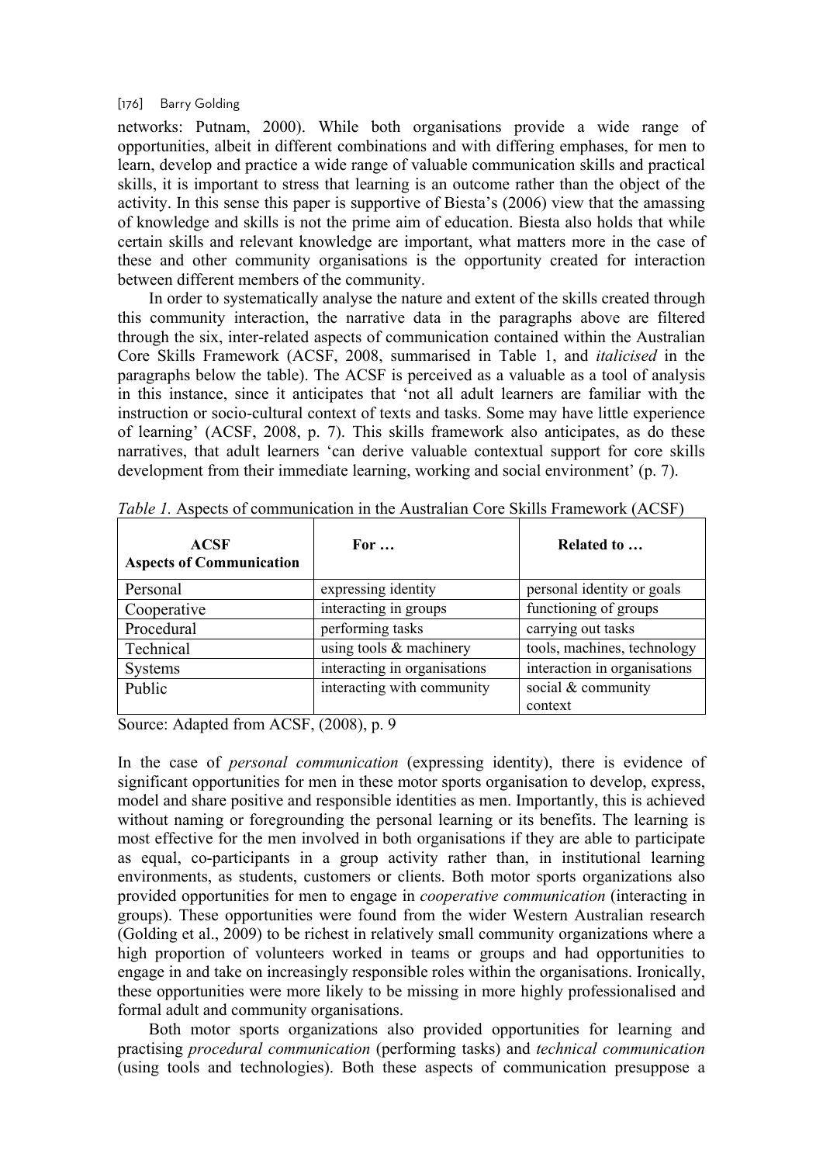#### [176] Barry Golding

networks: Putnam, 2000). While both organisations provide a wide range of opportunities, albeit in different combinations and with differing emphases, for men to learn, develop and practice a wide range of valuable communication skills and practical skills, it is important to stress that learning is an outcome rather than the object of the activity. In this sense this paper is supportive of Biesta's (2006) view that the amassing of knowledge and skills is not the prime aim of education. Biesta also holds that while certain skills and relevant knowledge are important, what matters more in the case of these and other community organisations is the opportunity created for interaction between different members of the community.

In order to systematically analyse the nature and extent of the skills created through this community interaction, the narrative data in the paragraphs above are filtered through the six, inter-related aspects of communication contained within the Australian Core Skills Framework (ACSF, 2008, summarised in Table 1, and *italicised* in the paragraphs below the table). The ACSF is perceived as a valuable as a tool of analysis in this instance, since it anticipates that 'not all adult learners are familiar with the instruction or socio-cultural context of texts and tasks. Some may have little experience of learning' (ACSF, 2008, p. 7). This skills framework also anticipates, as do these narratives, that adult learners 'can derive valuable contextual support for core skills development from their immediate learning, working and social environment' (p. 7).

| <b>ACSF</b><br><b>Aspects of Communication</b> | For $\ldots$                 | Related to                    |
|------------------------------------------------|------------------------------|-------------------------------|
| Personal                                       | expressing identity          | personal identity or goals    |
| Cooperative                                    | interacting in groups        | functioning of groups         |
| Procedural                                     | performing tasks             | carrying out tasks            |
| Technical                                      | using tools $&$ machinery    | tools, machines, technology   |
| <b>Systems</b>                                 | interacting in organisations | interaction in organisations  |
| Public                                         | interacting with community   | social & community<br>context |

*Table 1.* Aspects of communication in the Australian Core Skills Framework (ACSF)

Source: Adapted from ACSF, (2008), p. 9

In the case of *personal communication* (expressing identity), there is evidence of significant opportunities for men in these motor sports organisation to develop, express, model and share positive and responsible identities as men. Importantly, this is achieved without naming or foregrounding the personal learning or its benefits. The learning is most effective for the men involved in both organisations if they are able to participate as equal, co-participants in a group activity rather than, in institutional learning environments, as students, customers or clients. Both motor sports organizations also provided opportunities for men to engage in *cooperative communication* (interacting in groups). These opportunities were found from the wider Western Australian research (Golding et al., 2009) to be richest in relatively small community organizations where a high proportion of volunteers worked in teams or groups and had opportunities to engage in and take on increasingly responsible roles within the organisations. Ironically, these opportunities were more likely to be missing in more highly professionalised and formal adult and community organisations.

Both motor sports organizations also provided opportunities for learning and practising *procedural communication* (performing tasks) and *technical communication* (using tools and technologies). Both these aspects of communication presuppose a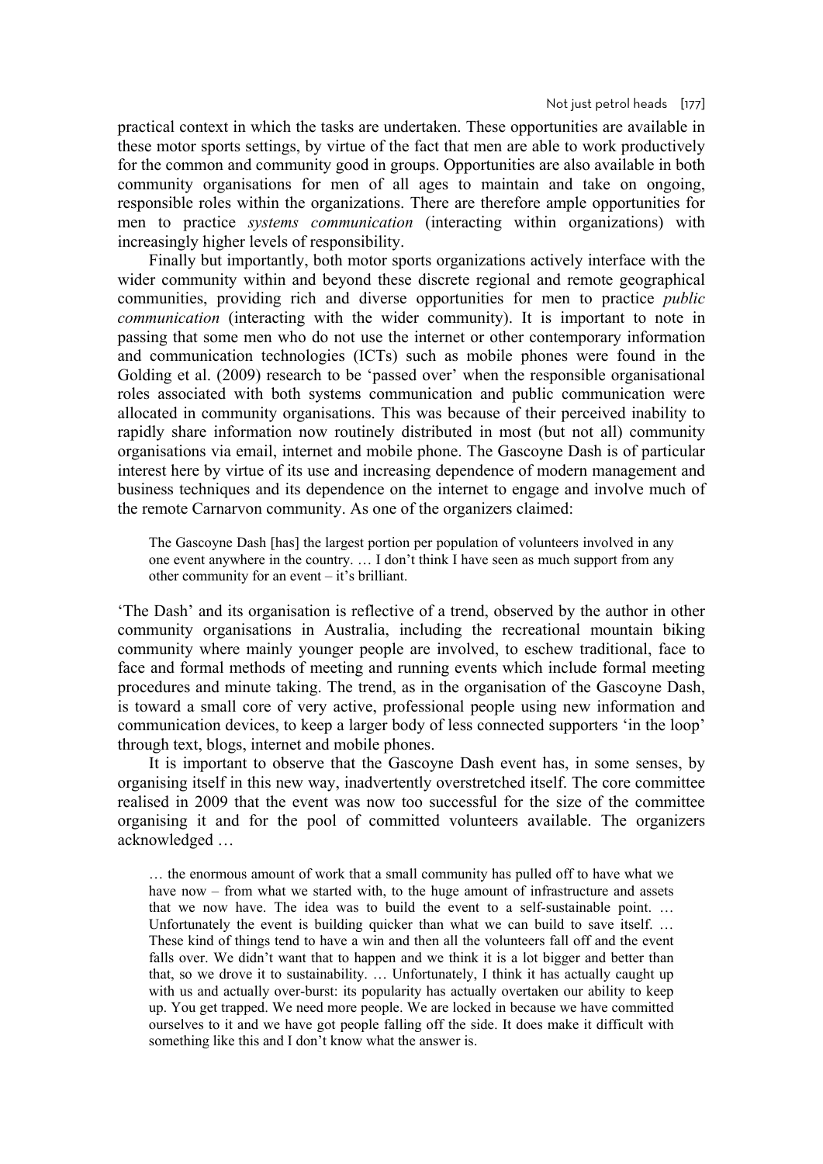practical context in which the tasks are undertaken. These opportunities are available in these motor sports settings, by virtue of the fact that men are able to work productively for the common and community good in groups. Opportunities are also available in both community organisations for men of all ages to maintain and take on ongoing, responsible roles within the organizations. There are therefore ample opportunities for men to practice *systems communication* (interacting within organizations) with increasingly higher levels of responsibility.

Finally but importantly, both motor sports organizations actively interface with the wider community within and beyond these discrete regional and remote geographical communities, providing rich and diverse opportunities for men to practice *public communication* (interacting with the wider community). It is important to note in passing that some men who do not use the internet or other contemporary information and communication technologies (ICTs) such as mobile phones were found in the Golding et al. (2009) research to be 'passed over' when the responsible organisational roles associated with both systems communication and public communication were allocated in community organisations. This was because of their perceived inability to rapidly share information now routinely distributed in most (but not all) community organisations via email, internet and mobile phone. The Gascoyne Dash is of particular interest here by virtue of its use and increasing dependence of modern management and business techniques and its dependence on the internet to engage and involve much of the remote Carnarvon community. As one of the organizers claimed:

The Gascoyne Dash [has] the largest portion per population of volunteers involved in any one event anywhere in the country. … I don't think I have seen as much support from any other community for an event – it's brilliant.

'The Dash' and its organisation is reflective of a trend, observed by the author in other community organisations in Australia, including the recreational mountain biking community where mainly younger people are involved, to eschew traditional, face to face and formal methods of meeting and running events which include formal meeting procedures and minute taking. The trend, as in the organisation of the Gascoyne Dash, is toward a small core of very active, professional people using new information and communication devices, to keep a larger body of less connected supporters 'in the loop' through text, blogs, internet and mobile phones.

It is important to observe that the Gascoyne Dash event has, in some senses, by organising itself in this new way, inadvertently overstretched itself. The core committee realised in 2009 that the event was now too successful for the size of the committee organising it and for the pool of committed volunteers available. The organizers acknowledged …

… the enormous amount of work that a small community has pulled off to have what we have now – from what we started with, to the huge amount of infrastructure and assets that we now have. The idea was to build the event to a self-sustainable point. … Unfortunately the event is building quicker than what we can build to save itself. … These kind of things tend to have a win and then all the volunteers fall off and the event falls over. We didn't want that to happen and we think it is a lot bigger and better than that, so we drove it to sustainability. … Unfortunately, I think it has actually caught up with us and actually over-burst: its popularity has actually overtaken our ability to keep up. You get trapped. We need more people. We are locked in because we have committed ourselves to it and we have got people falling off the side. It does make it difficult with something like this and I don't know what the answer is.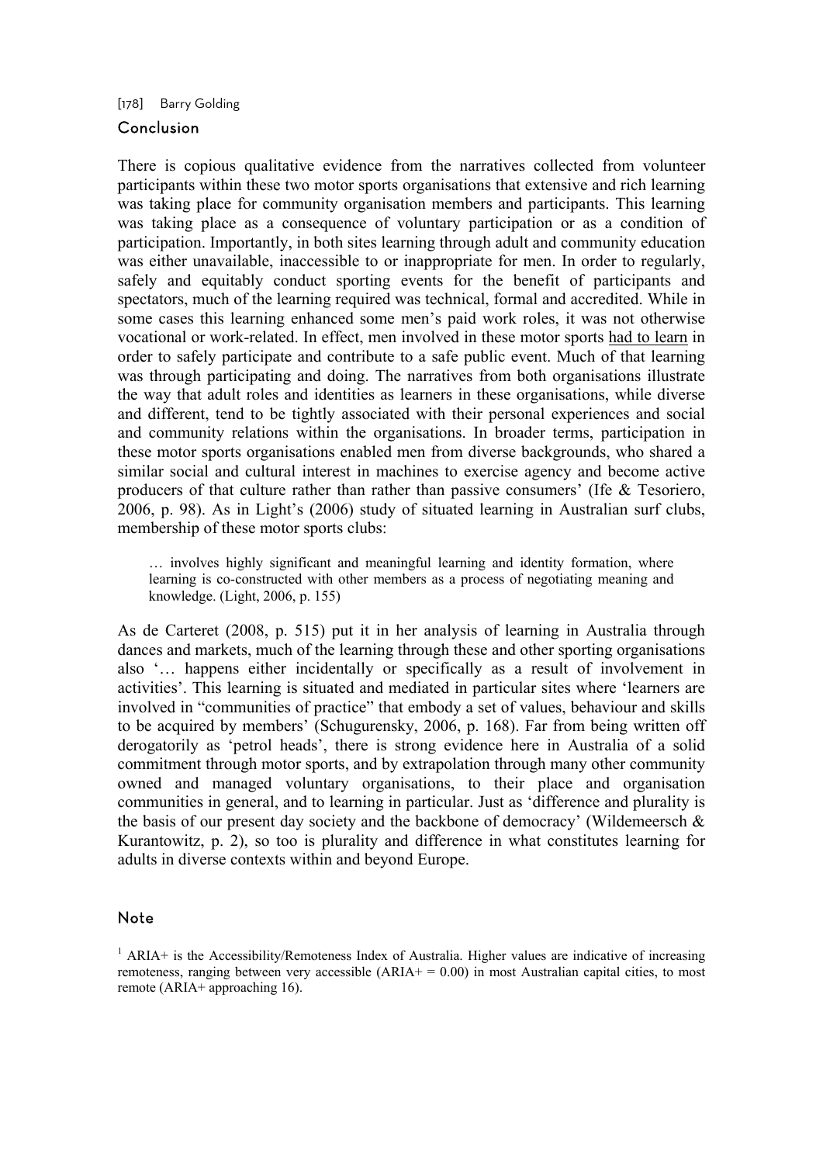[178] Barry Golding

# Conclusion

There is copious qualitative evidence from the narratives collected from volunteer participants within these two motor sports organisations that extensive and rich learning was taking place for community organisation members and participants. This learning was taking place as a consequence of voluntary participation or as a condition of participation. Importantly, in both sites learning through adult and community education was either unavailable, inaccessible to or inappropriate for men. In order to regularly, safely and equitably conduct sporting events for the benefit of participants and spectators, much of the learning required was technical, formal and accredited. While in some cases this learning enhanced some men's paid work roles, it was not otherwise vocational or work-related. In effect, men involved in these motor sports had to learn in order to safely participate and contribute to a safe public event. Much of that learning was through participating and doing. The narratives from both organisations illustrate the way that adult roles and identities as learners in these organisations, while diverse and different, tend to be tightly associated with their personal experiences and social and community relations within the organisations. In broader terms, participation in these motor sports organisations enabled men from diverse backgrounds, who shared a similar social and cultural interest in machines to exercise agency and become active producers of that culture rather than rather than passive consumers' (Ife & Tesoriero, 2006, p. 98). As in Light's (2006) study of situated learning in Australian surf clubs, membership of these motor sports clubs:

… involves highly significant and meaningful learning and identity formation, where learning is co-constructed with other members as a process of negotiating meaning and knowledge. (Light, 2006, p. 155)

As de Carteret (2008, p. 515) put it in her analysis of learning in Australia through dances and markets, much of the learning through these and other sporting organisations also '… happens either incidentally or specifically as a result of involvement in activities'. This learning is situated and mediated in particular sites where 'learners are involved in "communities of practice" that embody a set of values, behaviour and skills to be acquired by members' (Schugurensky, 2006, p. 168). Far from being written off derogatorily as 'petrol heads', there is strong evidence here in Australia of a solid commitment through motor sports, and by extrapolation through many other community owned and managed voluntary organisations, to their place and organisation communities in general, and to learning in particular. Just as 'difference and plurality is the basis of our present day society and the backbone of democracy' (Wildemeersch  $\&$ Kurantowitz, p. 2), so too is plurality and difference in what constitutes learning for adults in diverse contexts within and beyond Europe.

# Note

<sup>&</sup>lt;sup>1</sup> ARIA+ is the Accessibility/Remoteness Index of Australia. Higher values are indicative of increasing remoteness, ranging between very accessible  $(ARIA + 0.00)$  in most Australian capital cities, to most remote (ARIA+ approaching 16).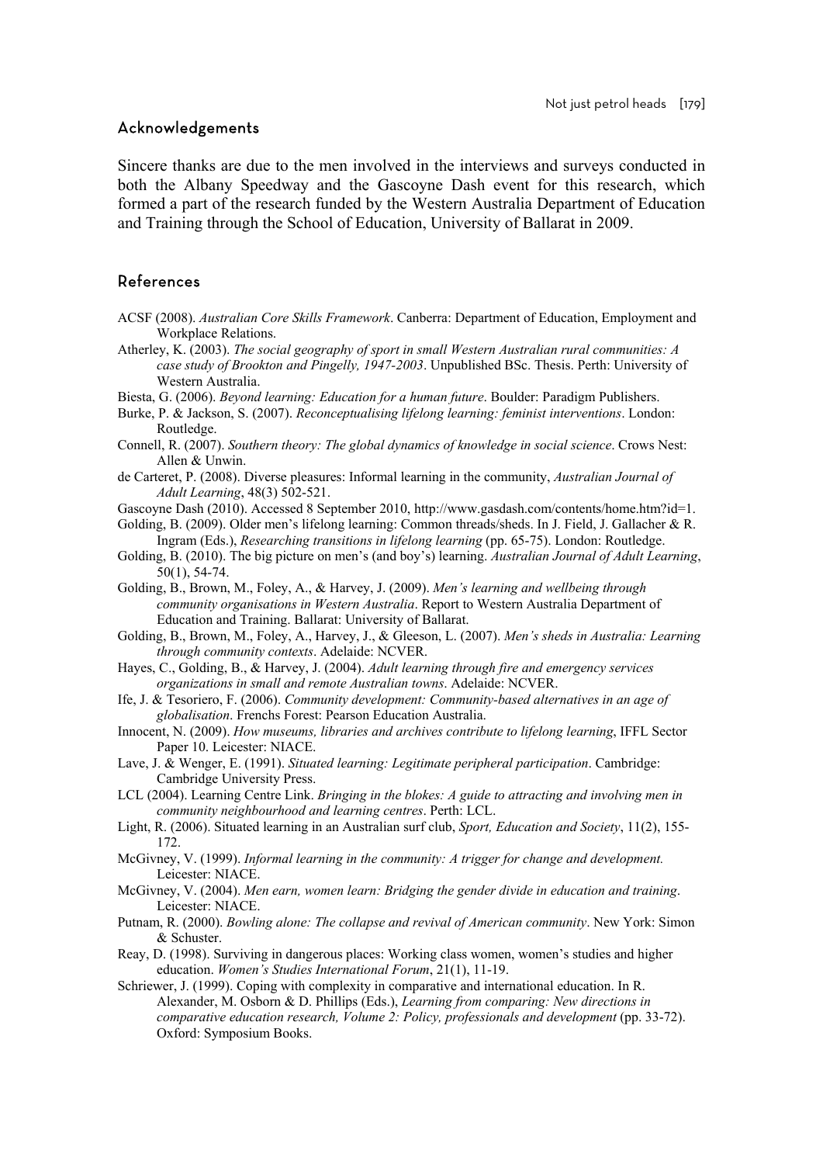## Acknowledgements

Sincere thanks are due to the men involved in the interviews and surveys conducted in both the Albany Speedway and the Gascoyne Dash event for this research, which formed a part of the research funded by the Western Australia Department of Education and Training through the School of Education, University of Ballarat in 2009.

# References

- ACSF (2008). *Australian Core Skills Framework*. Canberra: Department of Education, Employment and Workplace Relations.
- Atherley, K. (2003). *The social geography of sport in small Western Australian rural communities: A case study of Brookton and Pingelly, 1947-2003*. Unpublished BSc. Thesis. Perth: University of Western Australia.
- Biesta, G. (2006). *Beyond learning: Education for a human future*. Boulder: Paradigm Publishers.
- Burke, P. & Jackson, S. (2007). *Reconceptualising lifelong learning: feminist interventions*. London: Routledge.
- Connell, R. (2007). *Southern theory: The global dynamics of knowledge in social science*. Crows Nest: Allen & Unwin.
- de Carteret, P. (2008). Diverse pleasures: Informal learning in the community, *Australian Journal of Adult Learning*, 48(3) 502-521.
- Gascoyne Dash (2010). Accessed 8 September 2010, http://www.gasdash.com/contents/home.htm?id=1.
- Golding, B. (2009). Older men's lifelong learning: Common threads/sheds. In J. Field, J. Gallacher & R. Ingram (Eds.), *Researching transitions in lifelong learning* (pp. 65-75). London: Routledge.
- Golding, B. (2010). The big picture on men's (and boy's) learning. *Australian Journal of Adult Learning*, 50(1), 54-74.
- Golding, B., Brown, M., Foley, A., & Harvey, J. (2009). *Men's learning and wellbeing through community organisations in Western Australia*. Report to Western Australia Department of Education and Training. Ballarat: University of Ballarat.
- Golding, B., Brown, M., Foley, A., Harvey, J., & Gleeson, L. (2007). *Men's sheds in Australia: Learning through community contexts*. Adelaide: NCVER.
- Hayes, C., Golding, B., & Harvey, J. (2004). *Adult learning through fire and emergency services organizations in small and remote Australian towns*. Adelaide: NCVER.
- Ife, J. & Tesoriero, F. (2006). *Community development: Community-based alternatives in an age of globalisation*. Frenchs Forest: Pearson Education Australia.
- Innocent, N. (2009). *How museums, libraries and archives contribute to lifelong learning*, IFFL Sector Paper 10. Leicester: NIACE.
- Lave, J. & Wenger, E. (1991). *Situated learning: Legitimate peripheral participation*. Cambridge: Cambridge University Press.
- LCL (2004). Learning Centre Link. *Bringing in the blokes: A guide to attracting and involving men in community neighbourhood and learning centres*. Perth: LCL.
- Light, R. (2006). Situated learning in an Australian surf club, *Sport, Education and Society*, 11(2), 155- 172.
- McGivney, V. (1999). *Informal learning in the community: A trigger for change and development.*  Leicester: NIACE.
- McGivney, V. (2004). *Men earn, women learn: Bridging the gender divide in education and training*. Leicester: NIACE.
- Putnam, R. (2000). *Bowling alone: The collapse and revival of American community*. New York: Simon & Schuster.
- Reay, D. (1998). Surviving in dangerous places: Working class women, women's studies and higher education. *Women's Studies International Forum*, 21(1), 11-19.
- Schriewer, J. (1999). Coping with complexity in comparative and international education. In R. Alexander, M. Osborn & D. Phillips (Eds.), *Learning from comparing: New directions in comparative education research, Volume 2: Policy, professionals and development* (pp. 33-72). Oxford: Symposium Books.